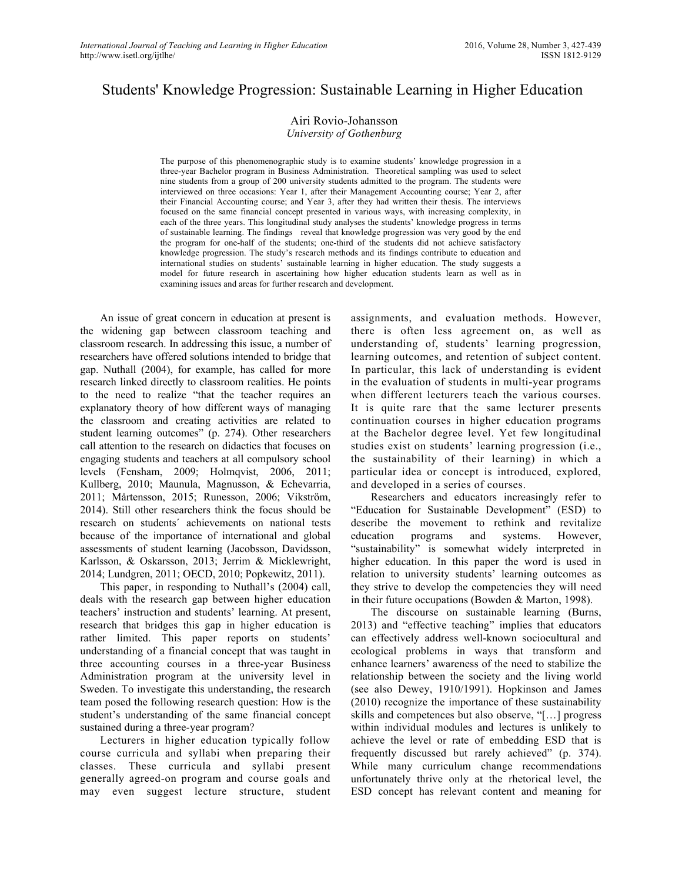# Students' Knowledge Progression: Sustainable Learning in Higher Education

#### Airi Rovio-Johansson *University of Gothenburg*

The purpose of this phenomenographic study is to examine students' knowledge progression in a three-year Bachelor program in Business Administration. Theoretical sampling was used to select nine students from a group of 200 university students admitted to the program. The students were interviewed on three occasions: Year 1, after their Management Accounting course; Year 2, after their Financial Accounting course; and Year 3, after they had written their thesis. The interviews focused on the same financial concept presented in various ways, with increasing complexity, in each of the three years. This longitudinal study analyses the students' knowledge progress in terms of sustainable learning. The findings reveal that knowledge progression was very good by the end the program for one-half of the students; one-third of the students did not achieve satisfactory knowledge progression. The study's research methods and its findings contribute to education and international studies on students' sustainable learning in higher education. The study suggests a model for future research in ascertaining how higher education students learn as well as in examining issues and areas for further research and development.

An issue of great concern in education at present is the widening gap between classroom teaching and classroom research. In addressing this issue, a number of researchers have offered solutions intended to bridge that gap. Nuthall (2004), for example, has called for more research linked directly to classroom realities. He points to the need to realize "that the teacher requires an explanatory theory of how different ways of managing the classroom and creating activities are related to student learning outcomes" (p. 274). Other researchers call attention to the research on didactics that focuses on engaging students and teachers at all compulsory school levels (Fensham, 2009; Holmqvist, 2006, 2011; Kullberg, 2010; Maunula, Magnusson, & Echevarria, 2011; Mårtensson, 2015; Runesson, 2006; Vikström, 2014). Still other researchers think the focus should be research on students´ achievements on national tests because of the importance of international and global assessments of student learning (Jacobsson, Davidsson, Karlsson, & Oskarsson, 2013; Jerrim & Micklewright, 2014; Lundgren, 2011; OECD, 2010; Popkewitz, 2011).

This paper, in responding to Nuthall's (2004) call, deals with the research gap between higher education teachers' instruction and students' learning. At present, research that bridges this gap in higher education is rather limited. This paper reports on students' understanding of a financial concept that was taught in three accounting courses in a three-year Business Administration program at the university level in Sweden. To investigate this understanding, the research team posed the following research question: How is the student's understanding of the same financial concept sustained during a three-year program?

Lecturers in higher education typically follow course curricula and syllabi when preparing their classes. These curricula and syllabi present generally agreed-on program and course goals and may even suggest lecture structure, student assignments, and evaluation methods. However, there is often less agreement on, as well as understanding of, students' learning progression, learning outcomes, and retention of subject content. In particular, this lack of understanding is evident in the evaluation of students in multi-year programs when different lecturers teach the various courses. It is quite rare that the same lecturer presents continuation courses in higher education programs at the Bachelor degree level. Yet few longitudinal studies exist on students' learning progression (i.e., the sustainability of their learning) in which a particular idea or concept is introduced, explored, and developed in a series of courses.

Researchers and educators increasingly refer to "Education for Sustainable Development" (ESD) to describe the movement to rethink and revitalize education programs and systems. However, "sustainability" is somewhat widely interpreted in higher education. In this paper the word is used in relation to university students' learning outcomes as they strive to develop the competencies they will need in their future occupations (Bowden & Marton, 1998).

The discourse on sustainable learning (Burns, 2013) and "effective teaching" implies that educators can effectively address well-known sociocultural and ecological problems in ways that transform and enhance learners' awareness of the need to stabilize the relationship between the society and the living world (see also Dewey, 1910/1991). Hopkinson and James (2010) recognize the importance of these sustainability skills and competences but also observe, "[…] progress within individual modules and lectures is unlikely to achieve the level or rate of embedding ESD that is frequently discussed but rarely achieved" (p. 374). While many curriculum change recommendations unfortunately thrive only at the rhetorical level, the ESD concept has relevant content and meaning for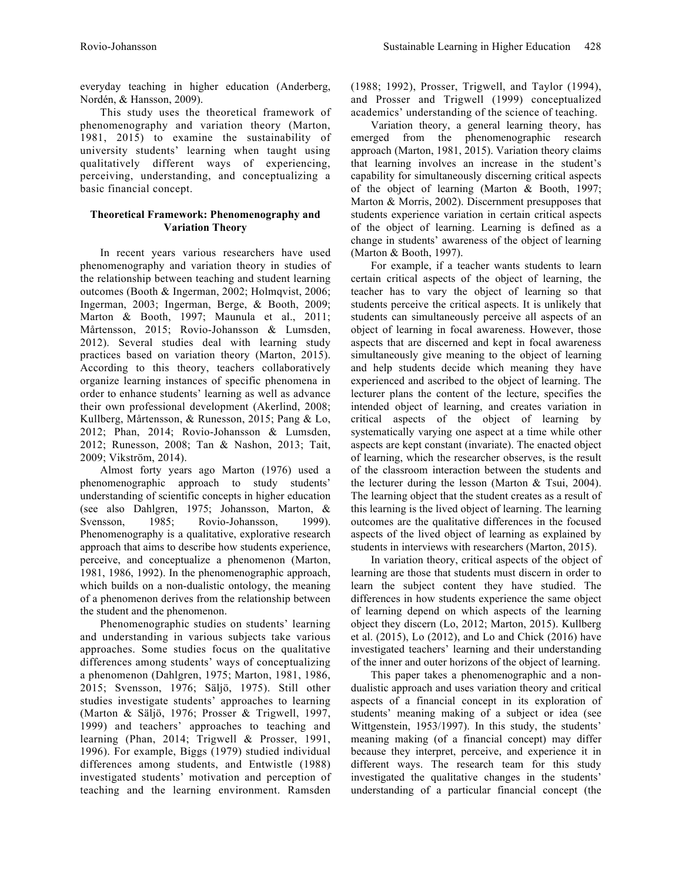everyday teaching in higher education (Anderberg, Nordén, & Hansson, 2009).

This study uses the theoretical framework of phenomenography and variation theory (Marton, 1981, 2015) to examine the sustainability of university students' learning when taught using qualitatively different ways of experiencing, perceiving, understanding, and conceptualizing a basic financial concept.

# **Theoretical Framework: Phenomenography and Variation Theory**

In recent years various researchers have used phenomenography and variation theory in studies of the relationship between teaching and student learning outcomes (Booth & Ingerman, 2002; Holmqvist, 2006; Ingerman, 2003; Ingerman, Berge, & Booth, 2009; Marton & Booth, 1997; Maunula et al., 2011; Mårtensson, 2015; Rovio-Johansson & Lumsden, 2012). Several studies deal with learning study practices based on variation theory (Marton, 2015). According to this theory, teachers collaboratively organize learning instances of specific phenomena in order to enhance students' learning as well as advance their own professional development (Akerlind, 2008; Kullberg, Mårtensson, & Runesson, 2015; Pang & Lo, 2012; Phan, 2014; Rovio-Johansson & Lumsden, 2012; Runesson, 2008; Tan & Nashon, 2013; Tait, 2009; Vikström, 2014).

Almost forty years ago Marton (1976) used a phenomenographic approach to study students' understanding of scientific concepts in higher education (see also Dahlgren, 1975; Johansson, Marton, & Svensson, 1985; Rovio-Johansson, 1999). Phenomenography is a qualitative, explorative research approach that aims to describe how students experience, perceive, and conceptualize a phenomenon (Marton, 1981, 1986, 1992). In the phenomenographic approach, which builds on a non-dualistic ontology, the meaning of a phenomenon derives from the relationship between the student and the phenomenon.

Phenomenographic studies on students' learning and understanding in various subjects take various approaches. Some studies focus on the qualitative differences among students' ways of conceptualizing a phenomenon (Dahlgren, 1975; Marton, 1981, 1986, 2015; Svensson, 1976; Säljö, 1975). Still other studies investigate students' approaches to learning (Marton & Säljö, 1976; Prosser & Trigwell, 1997, 1999) and teachers' approaches to teaching and learning (Phan, 2014; Trigwell & Prosser, 1991, 1996). For example, Biggs (1979) studied individual differences among students, and Entwistle (1988) investigated students' motivation and perception of teaching and the learning environment. Ramsden

(1988; 1992), Prosser, Trigwell, and Taylor (1994), and Prosser and Trigwell (1999) conceptualized academics' understanding of the science of teaching.

Variation theory, a general learning theory, has emerged from the phenomenographic research approach (Marton, 1981, 2015). Variation theory claims that learning involves an increase in the student's capability for simultaneously discerning critical aspects of the object of learning (Marton & Booth, 1997; Marton & Morris, 2002). Discernment presupposes that students experience variation in certain critical aspects of the object of learning. Learning is defined as a change in students' awareness of the object of learning (Marton & Booth, 1997).

For example, if a teacher wants students to learn certain critical aspects of the object of learning, the teacher has to vary the object of learning so that students perceive the critical aspects. It is unlikely that students can simultaneously perceive all aspects of an object of learning in focal awareness. However, those aspects that are discerned and kept in focal awareness simultaneously give meaning to the object of learning and help students decide which meaning they have experienced and ascribed to the object of learning. The lecturer plans the content of the lecture, specifies the intended object of learning, and creates variation in critical aspects of the object of learning by systematically varying one aspect at a time while other aspects are kept constant (invariate). The enacted object of learning, which the researcher observes, is the result of the classroom interaction between the students and the lecturer during the lesson (Marton & Tsui, 2004). The learning object that the student creates as a result of this learning is the lived object of learning. The learning outcomes are the qualitative differences in the focused aspects of the lived object of learning as explained by students in interviews with researchers (Marton, 2015).

In variation theory, critical aspects of the object of learning are those that students must discern in order to learn the subject content they have studied. The differences in how students experience the same object of learning depend on which aspects of the learning object they discern (Lo, 2012; Marton, 2015). Kullberg et al. (2015), Lo (2012), and Lo and Chick (2016) have investigated teachers' learning and their understanding of the inner and outer horizons of the object of learning.

This paper takes a phenomenographic and a nondualistic approach and uses variation theory and critical aspects of a financial concept in its exploration of students' meaning making of a subject or idea (see Wittgenstein, 1953/1997). In this study, the students' meaning making (of a financial concept) may differ because they interpret, perceive, and experience it in different ways. The research team for this study investigated the qualitative changes in the students' understanding of a particular financial concept (the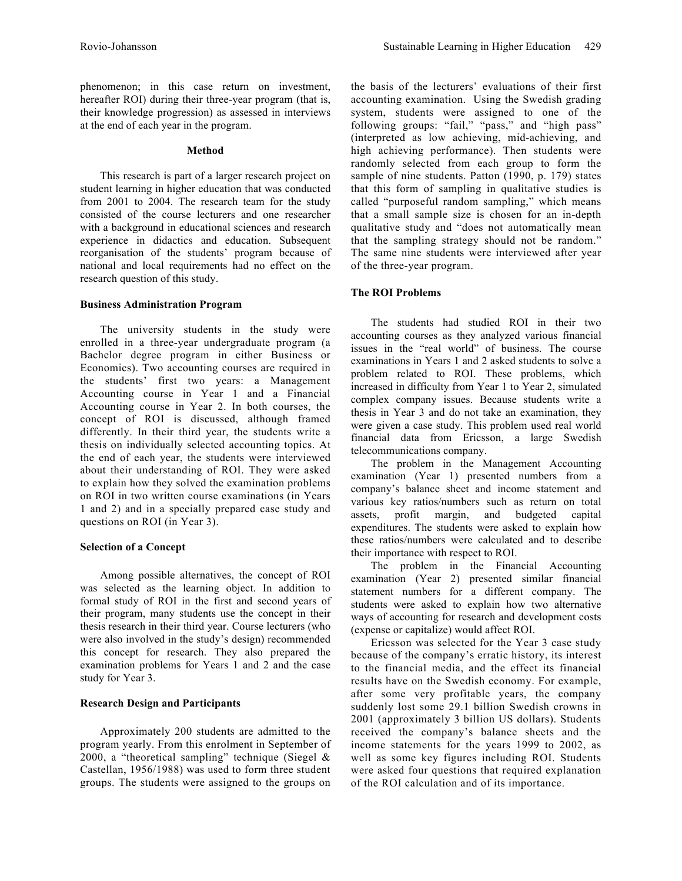phenomenon; in this case return on investment, hereafter ROI) during their three-year program (that is, their knowledge progression) as assessed in interviews at the end of each year in the program.

#### **Method**

This research is part of a larger research project on student learning in higher education that was conducted from 2001 to 2004. The research team for the study consisted of the course lecturers and one researcher with a background in educational sciences and research experience in didactics and education. Subsequent reorganisation of the students' program because of national and local requirements had no effect on the research question of this study.

#### **Business Administration Program**

The university students in the study were enrolled in a three-year undergraduate program (a Bachelor degree program in either Business or Economics). Two accounting courses are required in the students' first two years: a Management Accounting course in Year 1 and a Financial Accounting course in Year 2. In both courses, the concept of ROI is discussed, although framed differently. In their third year, the students write a thesis on individually selected accounting topics. At the end of each year, the students were interviewed about their understanding of ROI. They were asked to explain how they solved the examination problems on ROI in two written course examinations (in Years 1 and 2) and in a specially prepared case study and questions on ROI (in Year 3).

# **Selection of a Concept**

Among possible alternatives, the concept of ROI was selected as the learning object. In addition to formal study of ROI in the first and second years of their program, many students use the concept in their thesis research in their third year. Course lecturers (who were also involved in the study's design) recommended this concept for research. They also prepared the examination problems for Years 1 and 2 and the case study for Year 3.

# **Research Design and Participants**

Approximately 200 students are admitted to the program yearly. From this enrolment in September of 2000, a "theoretical sampling" technique (Siegel & Castellan, 1956/1988) was used to form three student groups. The students were assigned to the groups on

the basis of the lecturers' evaluations of their first accounting examination. Using the Swedish grading system, students were assigned to one of the following groups: "fail," "pass," and "high pass" (interpreted as low achieving, mid-achieving, and high achieving performance). Then students were randomly selected from each group to form the sample of nine students. Patton (1990, p. 179) states that this form of sampling in qualitative studies is called "purposeful random sampling," which means that a small sample size is chosen for an in-depth qualitative study and "does not automatically mean that the sampling strategy should not be random." The same nine students were interviewed after year of the three-year program.

## **The ROI Problems**

The students had studied ROI in their two accounting courses as they analyzed various financial issues in the "real world" of business. The course examinations in Years 1 and 2 asked students to solve a problem related to ROI. These problems, which increased in difficulty from Year 1 to Year 2, simulated complex company issues. Because students write a thesis in Year 3 and do not take an examination, they were given a case study. This problem used real world financial data from Ericsson, a large Swedish telecommunications company.

The problem in the Management Accounting examination (Year 1) presented numbers from a company's balance sheet and income statement and various key ratios/numbers such as return on total assets, profit margin, and budgeted capital expenditures. The students were asked to explain how these ratios/numbers were calculated and to describe their importance with respect to ROI.

The problem in the Financial Accounting examination (Year 2) presented similar financial statement numbers for a different company. The students were asked to explain how two alternative ways of accounting for research and development costs (expense or capitalize) would affect ROI.

Ericsson was selected for the Year 3 case study because of the company's erratic history, its interest to the financial media, and the effect its financial results have on the Swedish economy. For example, after some very profitable years, the company suddenly lost some 29.1 billion Swedish crowns in 2001 (approximately 3 billion US dollars). Students received the company's balance sheets and the income statements for the years 1999 to 2002, as well as some key figures including ROI. Students were asked four questions that required explanation of the ROI calculation and of its importance.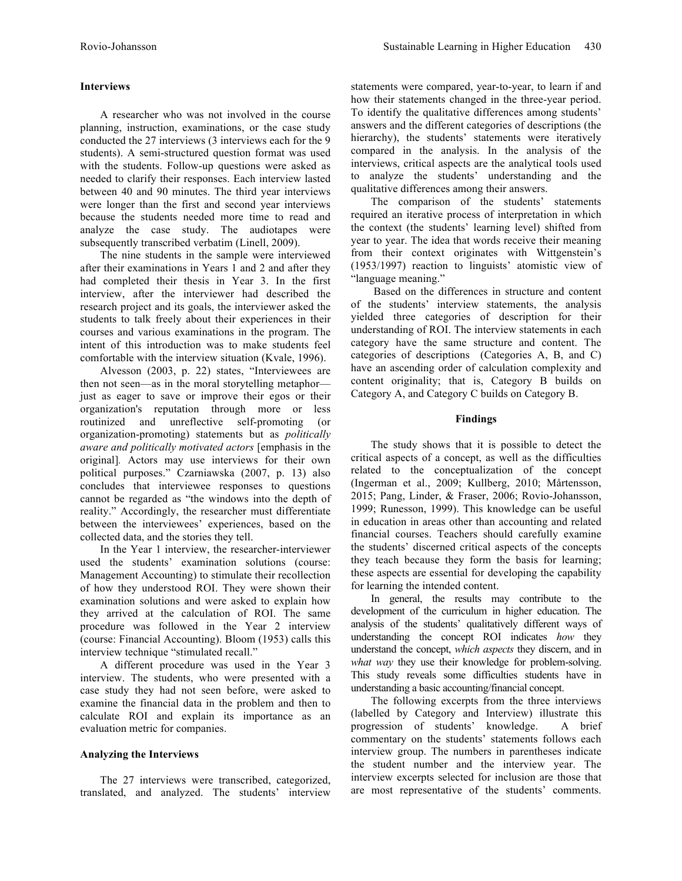## **Interviews**

A researcher who was not involved in the course planning, instruction, examinations, or the case study conducted the 27 interviews (3 interviews each for the 9 students). A semi-structured question format was used with the students. Follow-up questions were asked as needed to clarify their responses. Each interview lasted between 40 and 90 minutes. The third year interviews were longer than the first and second year interviews because the students needed more time to read and analyze the case study. The audiotapes were subsequently transcribed verbatim (Linell, 2009).

The nine students in the sample were interviewed after their examinations in Years 1 and 2 and after they had completed their thesis in Year 3. In the first interview, after the interviewer had described the research project and its goals, the interviewer asked the students to talk freely about their experiences in their courses and various examinations in the program. The intent of this introduction was to make students feel comfortable with the interview situation (Kvale, 1996).

Alvesson (2003, p. 22) states, "Interviewees are then not seen—as in the moral storytelling metaphor just as eager to save or improve their egos or their organization's reputation through more or less routinized and unreflective self-promoting (or organization-promoting) statements but as *politically aware and politically motivated actors* [emphasis in the original]*.* Actors may use interviews for their own political purposes." Czarniawska (2007, p. 13) also concludes that interviewee responses to questions cannot be regarded as "the windows into the depth of reality." Accordingly, the researcher must differentiate between the interviewees' experiences, based on the collected data, and the stories they tell.

In the Year 1 interview, the researcher-interviewer used the students' examination solutions (course: Management Accounting) to stimulate their recollection of how they understood ROI. They were shown their examination solutions and were asked to explain how they arrived at the calculation of ROI. The same procedure was followed in the Year 2 interview (course: Financial Accounting). Bloom (1953) calls this interview technique "stimulated recall."

A different procedure was used in the Year 3 interview. The students, who were presented with a case study they had not seen before, were asked to examine the financial data in the problem and then to calculate ROI and explain its importance as an evaluation metric for companies.

# **Analyzing the Interviews**

The 27 interviews were transcribed, categorized, translated, and analyzed. The students' interview statements were compared, year-to-year, to learn if and how their statements changed in the three-year period. To identify the qualitative differences among students' answers and the different categories of descriptions (the hierarchy), the students' statements were iteratively compared in the analysis. In the analysis of the interviews, critical aspects are the analytical tools used to analyze the students' understanding and the qualitative differences among their answers.

The comparison of the students' statements required an iterative process of interpretation in which the context (the students' learning level) shifted from year to year. The idea that words receive their meaning from their context originates with Wittgenstein's (1953/1997) reaction to linguists' atomistic view of "language meaning."

Based on the differences in structure and content of the students' interview statements, the analysis yielded three categories of description for their understanding of ROI. The interview statements in each category have the same structure and content. The categories of descriptions (Categories A, B, and C) have an ascending order of calculation complexity and content originality; that is, Category B builds on Category A, and Category C builds on Category B.

## **Findings**

The study shows that it is possible to detect the critical aspects of a concept, as well as the difficulties related to the conceptualization of the concept (Ingerman et al., 2009; Kullberg, 2010; Mårtensson, 2015; Pang, Linder, & Fraser, 2006; Rovio-Johansson, 1999; Runesson, 1999). This knowledge can be useful in education in areas other than accounting and related financial courses. Teachers should carefully examine the students' discerned critical aspects of the concepts they teach because they form the basis for learning; these aspects are essential for developing the capability for learning the intended content.

In general, the results may contribute to the development of the curriculum in higher education. The analysis of the students' qualitatively different ways of understanding the concept ROI indicates *how* they understand the concept, *which aspects* they discern, and in *what way* they use their knowledge for problem-solving. This study reveals some difficulties students have in understanding a basic accounting/financial concept.

The following excerpts from the three interviews (labelled by Category and Interview) illustrate this progression of students' knowledge. A brief commentary on the students' statements follows each interview group. The numbers in parentheses indicate the student number and the interview year. The interview excerpts selected for inclusion are those that are most representative of the students' comments.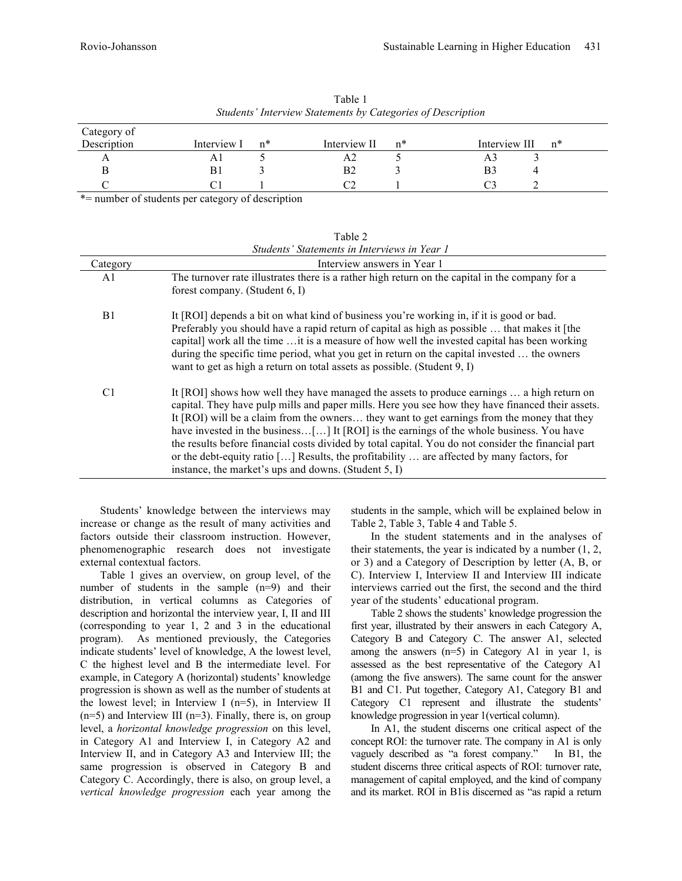| Category of<br>Description | Interview I | $n*$ | Interview II | n* | Interview III<br>$n^*$ |
|----------------------------|-------------|------|--------------|----|------------------------|
|                            |             |      | А2           |    | A.                     |
|                            | B1          |      | B2           |    | B3                     |
|                            |             |      | Πn           |    |                        |

Table 2

Table 1 *Students' Interview Statements by Categories of Description*

\*= number of students per category of description

| Students' Statements in Interviews in Year 1 |                                                                                                                                                                                                                                                                                                                                                                                                                                                                                                                                                                                                                                                       |  |  |  |  |
|----------------------------------------------|-------------------------------------------------------------------------------------------------------------------------------------------------------------------------------------------------------------------------------------------------------------------------------------------------------------------------------------------------------------------------------------------------------------------------------------------------------------------------------------------------------------------------------------------------------------------------------------------------------------------------------------------------------|--|--|--|--|
| Category                                     | Interview answers in Year 1                                                                                                                                                                                                                                                                                                                                                                                                                                                                                                                                                                                                                           |  |  |  |  |
| A1                                           | The turnover rate illustrates there is a rather high return on the capital in the company for a<br>forest company. (Student $6, I$ )                                                                                                                                                                                                                                                                                                                                                                                                                                                                                                                  |  |  |  |  |
| B <sub>1</sub>                               | It [ROI] depends a bit on what kind of business you're working in, if it is good or bad.<br>Preferably you should have a rapid return of capital as high as possible  that makes it [the<br>capital] work all the time  it is a measure of how well the invested capital has been working<br>during the specific time period, what you get in return on the capital invested  the owners<br>want to get as high a return on total assets as possible. (Student 9, I)                                                                                                                                                                                  |  |  |  |  |
| C1                                           | It [ROI] shows how well they have managed the assets to produce earnings  a high return on<br>capital. They have pulp mills and paper mills. Here you see how they have financed their assets.<br>It [ROI] will be a claim from the owners they want to get earnings from the money that they<br>have invested in the business[] It [ROI] is the earnings of the whole business. You have<br>the results before financial costs divided by total capital. You do not consider the financial part<br>or the debt-equity ratio [] Results, the profitability  are affected by many factors, for<br>instance, the market's ups and downs. (Student 5, I) |  |  |  |  |

Students' knowledge between the interviews may increase or change as the result of many activities and factors outside their classroom instruction. However, phenomenographic research does not investigate external contextual factors.

Table 1 gives an overview, on group level, of the number of students in the sample (n=9) and their distribution, in vertical columns as Categories of description and horizontal the interview year, I, II and III (corresponding to year 1, 2 and 3 in the educational program). As mentioned previously, the Categories indicate students' level of knowledge, A the lowest level, C the highest level and B the intermediate level. For example, in Category A (horizontal) students' knowledge progression is shown as well as the number of students at the lowest level; in Interview I (n=5), in Interview II  $(n=5)$  and Interview III  $(n=3)$ . Finally, there is, on group level, a *horizontal knowledge progression* on this level, in Category A1 and Interview I, in Category A2 and Interview II, and in Category A3 and Interview III; the same progression is observed in Category B and Category C. Accordingly, there is also, on group level, a *vertical knowledge progression* each year among the

students in the sample, which will be explained below in Table 2, Table 3, Table 4 and Table 5.

In the student statements and in the analyses of their statements, the year is indicated by a number (1, 2, or 3) and a Category of Description by letter (A, B, or C). Interview I, Interview II and Interview III indicate interviews carried out the first, the second and the third year of the students' educational program.

Table 2 shows the students' knowledge progression the first year, illustrated by their answers in each Category A, Category B and Category C. The answer A1, selected among the answers  $(n=5)$  in Category A1 in year 1, is assessed as the best representative of the Category A1 (among the five answers). The same count for the answer B1 and C1. Put together, Category A1, Category B1 and Category C1 represent and illustrate the students' knowledge progression in year 1(vertical column).

In A1, the student discerns one critical aspect of the concept ROI: the turnover rate. The company in A1 is only vaguely described as "a forest company." In B1, the student discerns three critical aspects of ROI: turnover rate, management of capital employed, and the kind of company and its market. ROI in B1is discerned as "as rapid a return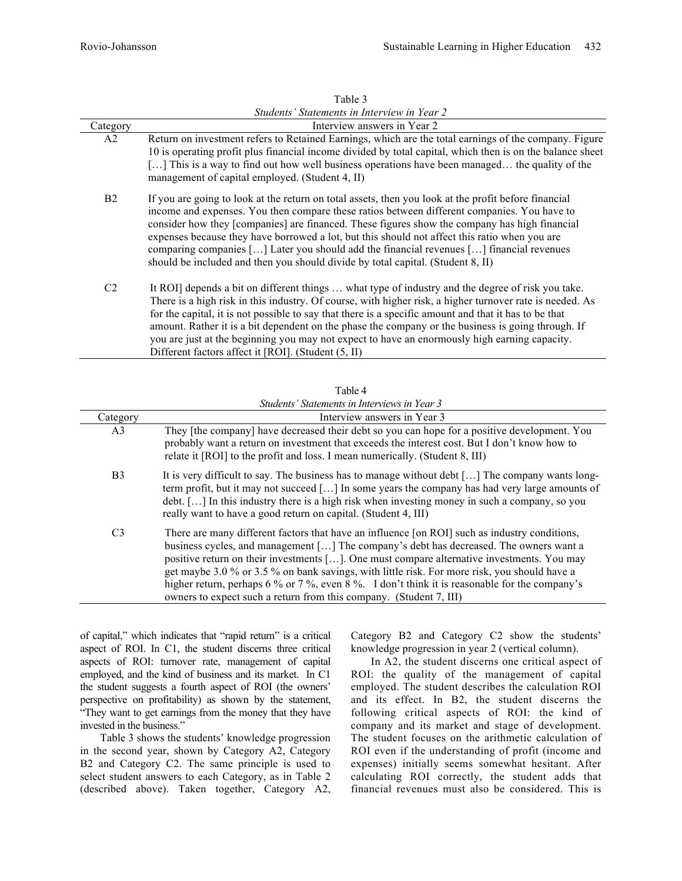|           | Interview answers in Year 2                                                                                                                                                                                                                                                                                                                                                                                                                                                                                                                                                          |
|-----------|--------------------------------------------------------------------------------------------------------------------------------------------------------------------------------------------------------------------------------------------------------------------------------------------------------------------------------------------------------------------------------------------------------------------------------------------------------------------------------------------------------------------------------------------------------------------------------------|
| Category  |                                                                                                                                                                                                                                                                                                                                                                                                                                                                                                                                                                                      |
| A2        | Return on investment refers to Retained Earnings, which are the total earnings of the company. Figure<br>10 is operating profit plus financial income divided by total capital, which then is on the balance sheet<br>[] This is a way to find out how well business operations have been managed the quality of the<br>management of capital employed. (Student 4, II)                                                                                                                                                                                                              |
| <b>B2</b> | If you are going to look at the return on total assets, then you look at the profit before financial<br>income and expenses. You then compare these ratios between different companies. You have to<br>consider how they [companies] are financed. These figures show the company has high financial<br>expenses because they have borrowed a lot, but this should not affect this ratio when you are<br>comparing companies [] Later you should add the financial revenues [] financial revenues<br>should be included and then you should divide by total capital. (Student 8, II) |
| C2        | It ROI] depends a bit on different things  what type of industry and the degree of risk you take.<br>There is a high risk in this industry. Of course, with higher risk, a higher turnover rate is needed. As<br>for the capital, it is not possible to say that there is a specific amount and that it has to be that<br>amount. Rather it is a bit dependent on the phase the company or the business is going through. If<br>you are just at the beginning you may not expect to have an enormously high earning capacity.<br>Different factors affect it [ROI]. (Student (5, II) |

|                | Table 4                                                                                                                                                                                                                                                                                                                                                                                                                                                                                                                                                      |
|----------------|--------------------------------------------------------------------------------------------------------------------------------------------------------------------------------------------------------------------------------------------------------------------------------------------------------------------------------------------------------------------------------------------------------------------------------------------------------------------------------------------------------------------------------------------------------------|
|                | Students' Statements in Interviews in Year 3                                                                                                                                                                                                                                                                                                                                                                                                                                                                                                                 |
| Category       | Interview answers in Year 3                                                                                                                                                                                                                                                                                                                                                                                                                                                                                                                                  |
| A <sub>3</sub> | They [the company] have decreased their debt so you can hope for a positive development. You<br>probably want a return on investment that exceeds the interest cost. But I don't know how to<br>relate it [ROI] to the profit and loss. I mean numerically. (Student 8, III)                                                                                                                                                                                                                                                                                 |
| B <sub>3</sub> | It is very difficult to say. The business has to manage without debt [] The company wants long-<br>term profit, but it may not succeed [] In some years the company has had very large amounts of<br>debt. [] In this industry there is a high risk when investing money in such a company, so you<br>really want to have a good return on capital. (Student 4, III)                                                                                                                                                                                         |
| C <sub>3</sub> | There are many different factors that have an influence [on ROI] such as industry conditions,<br>business cycles, and management [] The company's debt has decreased. The owners want a<br>positive return on their investments []. One must compare alternative investments. You may<br>get maybe 3.0 % or 3.5 % on bank savings, with little risk. For more risk, you should have a<br>higher return, perhaps 6 % or 7 %, even 8 %. I don't think it is reasonable for the company's<br>owners to expect such a return from this company. (Student 7, III) |

of capital," which indicates that "rapid return" is a critical aspect of ROI. In C1, the student discerns three critical aspects of ROI: turnover rate, management of capital employed, and the kind of business and its market. In C1 the student suggests a fourth aspect of ROI (the owners' perspective on profitability) as shown by the statement, "They want to get earnings from the money that they have invested in the business."

Table 3 shows the students' knowledge progression in the second year, shown by Category A2, Category B2 and Category C2. The same principle is used to select student answers to each Category, as in Table 2 (described above). Taken together, Category A2, Category B2 and Category C2 show the students' knowledge progression in year 2 (vertical column).

In A2, the student discerns one critical aspect of ROI: the quality of the management of capital employed. The student describes the calculation ROI and its effect. In B2, the student discerns the following critical aspects of ROI: the kind of company and its market and stage of development. The student focuses on the arithmetic calculation of ROI even if the understanding of profit (income and expenses) initially seems somewhat hesitant. After calculating ROI correctly, the student adds that financial revenues must also be considered. This is

Table 3 *Students' Statements in Interview in Year 2*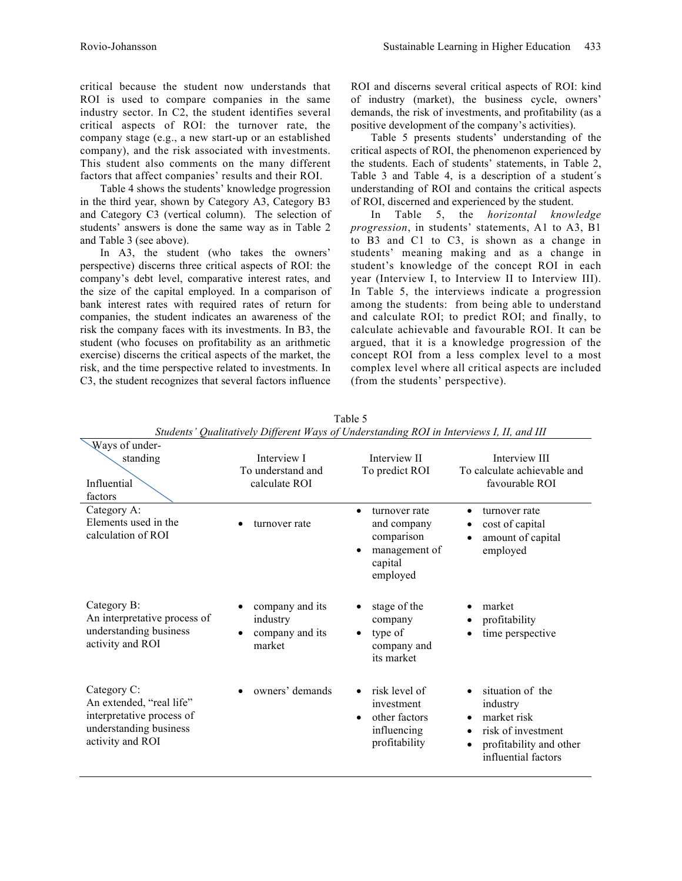critical because the student now understands that ROI is used to compare companies in the same industry sector. In C2, the student identifies several critical aspects of ROI: the turnover rate, the company stage (e.g., a new start-up or an established company), and the risk associated with investments. This student also comments on the many different factors that affect companies' results and their ROI.

Table 4 shows the students' knowledge progression in the third year, shown by Category A3, Category B3 and Category C3 (vertical column). The selection of students' answers is done the same way as in Table 2 and Table 3 (see above).

In A3, the student (who takes the owners' perspective) discerns three critical aspects of ROI: the company's debt level, comparative interest rates, and the size of the capital employed. In a comparison of bank interest rates with required rates of return for companies, the student indicates an awareness of the risk the company faces with its investments. In B3, the student (who focuses on profitability as an arithmetic exercise) discerns the critical aspects of the market, the risk, and the time perspective related to investments. In C3, the student recognizes that several factors influence

ROI and discerns several critical aspects of ROI: kind of industry (market), the business cycle, owners' demands, the risk of investments, and profitability (as a positive development of the company's activities).

Table 5 presents students' understanding of the critical aspects of ROI, the phenomenon experienced by the students. Each of students' statements, in Table 2, Table 3 and Table 4, is a description of a student´s understanding of ROI and contains the critical aspects of ROI, discerned and experienced by the student.

In Table 5, the *horizontal knowledge progression*, in students' statements, A1 to A3, B1 to B3 and C1 to C3, is shown as a change in students' meaning making and as a change in student's knowledge of the concept ROI in each year (Interview I, to Interview II to Interview III). In Table 5, the interviews indicate a progression among the students: from being able to understand and calculate ROI; to predict ROI; and finally, to calculate achievable and favourable ROI. It can be argued, that it is a knowledge progression of the concept ROI from a less complex level to a most complex level where all critical aspects are included (from the students' perspective).

| suurus<br>Quantumvery Different trays of Understanding KOT in thier views 1, 11, and 111                           |                                                          |                                                                                                              |                                                                                                                                                                 |  |  |  |  |  |
|--------------------------------------------------------------------------------------------------------------------|----------------------------------------------------------|--------------------------------------------------------------------------------------------------------------|-----------------------------------------------------------------------------------------------------------------------------------------------------------------|--|--|--|--|--|
| Ways of under-                                                                                                     |                                                          |                                                                                                              |                                                                                                                                                                 |  |  |  |  |  |
| standing                                                                                                           | Interview I                                              | Interview II                                                                                                 | Interview III                                                                                                                                                   |  |  |  |  |  |
|                                                                                                                    | To understand and                                        | To predict ROI                                                                                               | To calculate achievable and                                                                                                                                     |  |  |  |  |  |
| Influential<br>factors                                                                                             | calculate ROI                                            |                                                                                                              | favourable ROI                                                                                                                                                  |  |  |  |  |  |
| Category A:<br>Elements used in the<br>calculation of ROI                                                          | turnover rate                                            | turnover rate<br>$\bullet$<br>and company<br>comparison<br>management of<br>$\bullet$<br>capital<br>employed | turnover rate<br>$\bullet$<br>cost of capital<br>٠<br>amount of capital<br>$\bullet$<br>employed                                                                |  |  |  |  |  |
| Category B:<br>An interpretative process of<br>understanding business<br>activity and ROI                          | company and its<br>industry<br>company and its<br>market | stage of the<br>$\bullet$<br>company<br>type of<br>$\bullet$<br>company and<br>its market                    | market<br>profitability<br>time perspective                                                                                                                     |  |  |  |  |  |
| Category C:<br>An extended, "real life"<br>interpretative process of<br>understanding business<br>activity and ROI | owners' demands<br>$\bullet$                             | risk level of<br>$\bullet$<br>investment<br>other factors<br>$\bullet$<br>influencing<br>profitability       | situation of the<br>$\bullet$<br>industry<br>market risk<br>$\bullet$<br>risk of investment<br>$\bullet$<br>profitability and other<br>٠<br>influential factors |  |  |  |  |  |

Table 5 *Students' Qualitatively Different Ways of Understanding ROI in Interviews I, II, and III*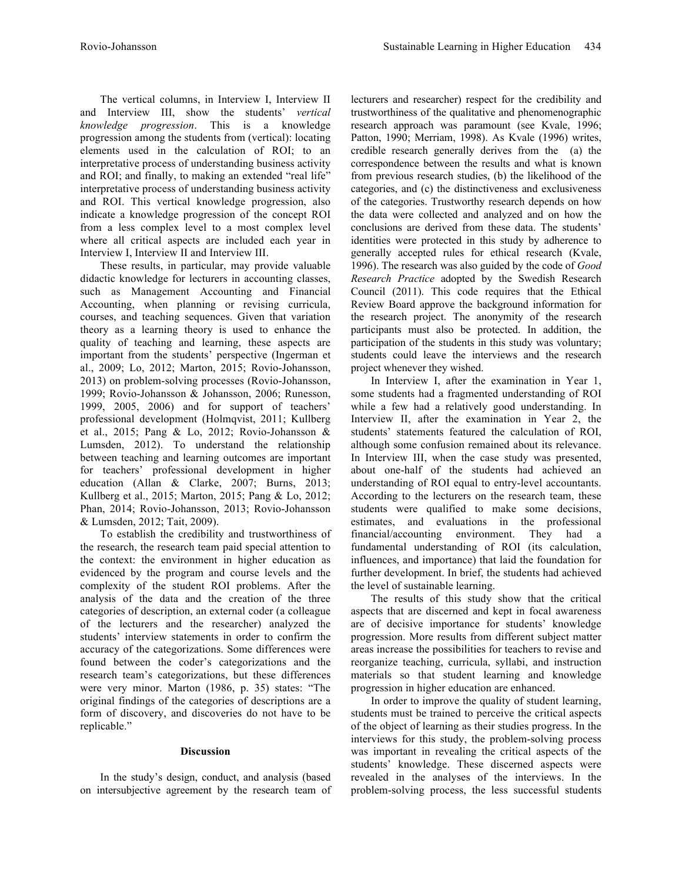The vertical columns, in Interview I, Interview II and Interview III, show the students' *vertical knowledge progression*. This is a knowledge progression among the students from (vertical): locating elements used in the calculation of ROI; to an interpretative process of understanding business activity and ROI; and finally, to making an extended "real life" interpretative process of understanding business activity and ROI. This vertical knowledge progression, also indicate a knowledge progression of the concept ROI from a less complex level to a most complex level where all critical aspects are included each year in Interview I, Interview II and Interview III.

These results, in particular, may provide valuable didactic knowledge for lecturers in accounting classes, such as Management Accounting and Financial Accounting, when planning or revising curricula, courses, and teaching sequences. Given that variation theory as a learning theory is used to enhance the quality of teaching and learning, these aspects are important from the students' perspective (Ingerman et al., 2009; Lo, 2012; Marton, 2015; Rovio-Johansson, 2013) on problem-solving processes (Rovio-Johansson, 1999; Rovio-Johansson & Johansson, 2006; Runesson, 1999, 2005, 2006) and for support of teachers' professional development (Holmqvist, 2011; Kullberg et al., 2015; Pang & Lo, 2012; Rovio-Johansson & Lumsden, 2012). To understand the relationship between teaching and learning outcomes are important for teachers' professional development in higher education (Allan & Clarke, 2007; Burns, 2013; Kullberg et al., 2015; Marton, 2015; Pang & Lo, 2012; Phan, 2014; Rovio-Johansson, 2013; Rovio-Johansson & Lumsden, 2012; Tait, 2009).

To establish the credibility and trustworthiness of the research, the research team paid special attention to the context: the environment in higher education as evidenced by the program and course levels and the complexity of the student ROI problems. After the analysis of the data and the creation of the three categories of description, an external coder (a colleague of the lecturers and the researcher) analyzed the students' interview statements in order to confirm the accuracy of the categorizations. Some differences were found between the coder's categorizations and the research team's categorizations, but these differences were very minor. Marton (1986, p. 35) states: "The original findings of the categories of descriptions are a form of discovery, and discoveries do not have to be replicable."

#### **Discussion**

In the study's design, conduct, and analysis (based on intersubjective agreement by the research team of lecturers and researcher) respect for the credibility and trustworthiness of the qualitative and phenomenographic research approach was paramount (see Kvale, 1996; Patton, 1990; Merriam, 1998). As Kvale (1996) writes, credible research generally derives from the (a) the correspondence between the results and what is known from previous research studies, (b) the likelihood of the categories, and (c) the distinctiveness and exclusiveness of the categories. Trustworthy research depends on how the data were collected and analyzed and on how the conclusions are derived from these data. The students' identities were protected in this study by adherence to generally accepted rules for ethical research (Kvale, 1996). The research was also guided by the code of *Good Research Practice* adopted by the Swedish Research Council (2011). This code requires that the Ethical Review Board approve the background information for the research project. The anonymity of the research participants must also be protected. In addition, the participation of the students in this study was voluntary; students could leave the interviews and the research project whenever they wished.

In Interview I, after the examination in Year 1, some students had a fragmented understanding of ROI while a few had a relatively good understanding. In Interview II, after the examination in Year 2, the students' statements featured the calculation of ROI, although some confusion remained about its relevance. In Interview III, when the case study was presented, about one-half of the students had achieved an understanding of ROI equal to entry-level accountants. According to the lecturers on the research team, these students were qualified to make some decisions, estimates, and evaluations in the professional financial/accounting environment. They had a fundamental understanding of ROI (its calculation, influences, and importance) that laid the foundation for further development. In brief, the students had achieved the level of sustainable learning.

The results of this study show that the critical aspects that are discerned and kept in focal awareness are of decisive importance for students' knowledge progression. More results from different subject matter areas increase the possibilities for teachers to revise and reorganize teaching, curricula, syllabi, and instruction materials so that student learning and knowledge progression in higher education are enhanced.

In order to improve the quality of student learning, students must be trained to perceive the critical aspects of the object of learning as their studies progress. In the interviews for this study, the problem-solving process was important in revealing the critical aspects of the students' knowledge. These discerned aspects were revealed in the analyses of the interviews. In the problem-solving process, the less successful students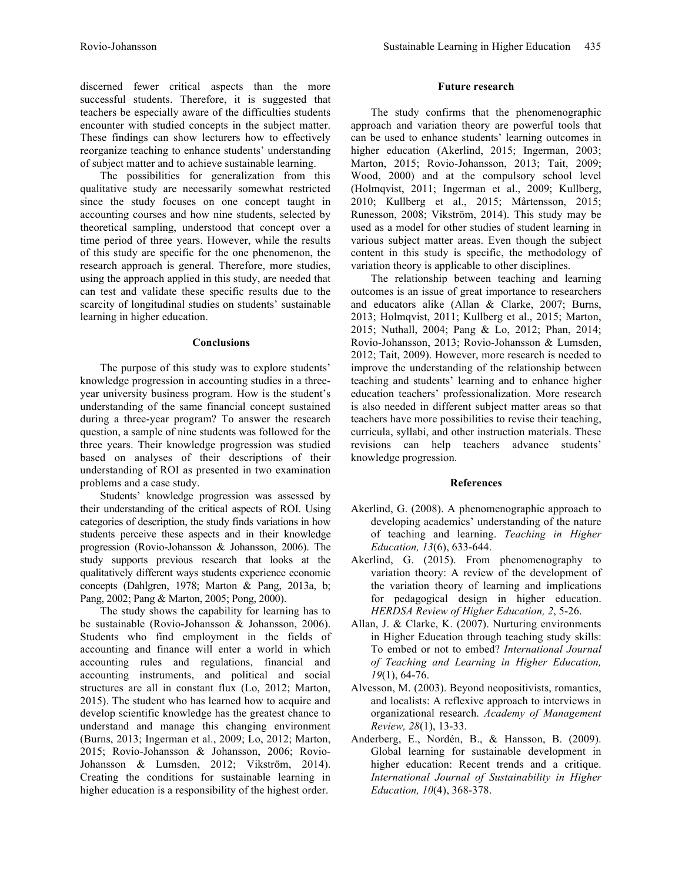discerned fewer critical aspects than the more successful students. Therefore, it is suggested that teachers be especially aware of the difficulties students encounter with studied concepts in the subject matter. These findings can show lecturers how to effectively reorganize teaching to enhance students' understanding of subject matter and to achieve sustainable learning.

The possibilities for generalization from this qualitative study are necessarily somewhat restricted since the study focuses on one concept taught in accounting courses and how nine students, selected by theoretical sampling, understood that concept over a time period of three years. However, while the results of this study are specific for the one phenomenon, the research approach is general. Therefore, more studies, using the approach applied in this study, are needed that can test and validate these specific results due to the scarcity of longitudinal studies on students' sustainable learning in higher education.

## **Conclusions**

The purpose of this study was to explore students' knowledge progression in accounting studies in a threeyear university business program. How is the student's understanding of the same financial concept sustained during a three-year program? To answer the research question, a sample of nine students was followed for the three years. Their knowledge progression was studied based on analyses of their descriptions of their understanding of ROI as presented in two examination problems and a case study.

Students' knowledge progression was assessed by their understanding of the critical aspects of ROI. Using categories of description, the study finds variations in how students perceive these aspects and in their knowledge progression (Rovio-Johansson & Johansson, 2006). The study supports previous research that looks at the qualitatively different ways students experience economic concepts (Dahlgren, 1978; Marton & Pang, 2013a, b; Pang, 2002; Pang & Marton, 2005; Pong, 2000).

The study shows the capability for learning has to be sustainable (Rovio-Johansson & Johansson, 2006). Students who find employment in the fields of accounting and finance will enter a world in which accounting rules and regulations, financial and accounting instruments, and political and social structures are all in constant flux (Lo, 2012; Marton, 2015). The student who has learned how to acquire and develop scientific knowledge has the greatest chance to understand and manage this changing environment (Burns, 2013; Ingerman et al., 2009; Lo, 2012; Marton, 2015; Rovio-Johansson & Johansson, 2006; Rovio-Johansson & Lumsden, 2012; Vikström, 2014). Creating the conditions for sustainable learning in higher education is a responsibility of the highest order.

# **Future research**

The study confirms that the phenomenographic approach and variation theory are powerful tools that can be used to enhance students' learning outcomes in higher education (Akerlind, 2015; Ingerman, 2003; Marton, 2015; Rovio-Johansson, 2013; Tait, 2009; Wood, 2000) and at the compulsory school level (Holmqvist, 2011; Ingerman et al., 2009; Kullberg, 2010; Kullberg et al., 2015; Mårtensson, 2015; Runesson, 2008; Vikström, 2014). This study may be used as a model for other studies of student learning in various subject matter areas. Even though the subject content in this study is specific, the methodology of variation theory is applicable to other disciplines.

The relationship between teaching and learning outcomes is an issue of great importance to researchers and educators alike (Allan & Clarke, 2007; Burns, 2013; Holmqvist, 2011; Kullberg et al., 2015; Marton, 2015; Nuthall, 2004; Pang & Lo, 2012; Phan, 2014; Rovio-Johansson, 2013; Rovio-Johansson & Lumsden, 2012; Tait, 2009). However, more research is needed to improve the understanding of the relationship between teaching and students' learning and to enhance higher education teachers' professionalization. More research is also needed in different subject matter areas so that teachers have more possibilities to revise their teaching, curricula, syllabi, and other instruction materials. These revisions can help teachers advance students' knowledge progression.

# **References**

- Akerlind, G. (2008). A phenomenographic approach to developing academics' understanding of the nature of teaching and learning. *Teaching in Higher Education, 13*(6), 633-644.
- Akerlind, G. (2015). From phenomenography to variation theory: A review of the development of the variation theory of learning and implications for pedagogical design in higher education. *HERDSA Review of Higher Education, 2*, 5-26.
- Allan, J. & Clarke, K. (2007). Nurturing environments in Higher Education through teaching study skills: To embed or not to embed? *International Journal of Teaching and Learning in Higher Education, 19*(1), 64-76.
- Alvesson, M. (2003). Beyond neopositivists, romantics, and localists: A reflexive approach to interviews in organizational research. *Academy of Management Review, 28*(1), 13-33.
- Anderberg, E., Nordén, B., & Hansson, B. (2009). Global learning for sustainable development in higher education: Recent trends and a critique. *International Journal of Sustainability in Higher Education, 10*(4), 368-378.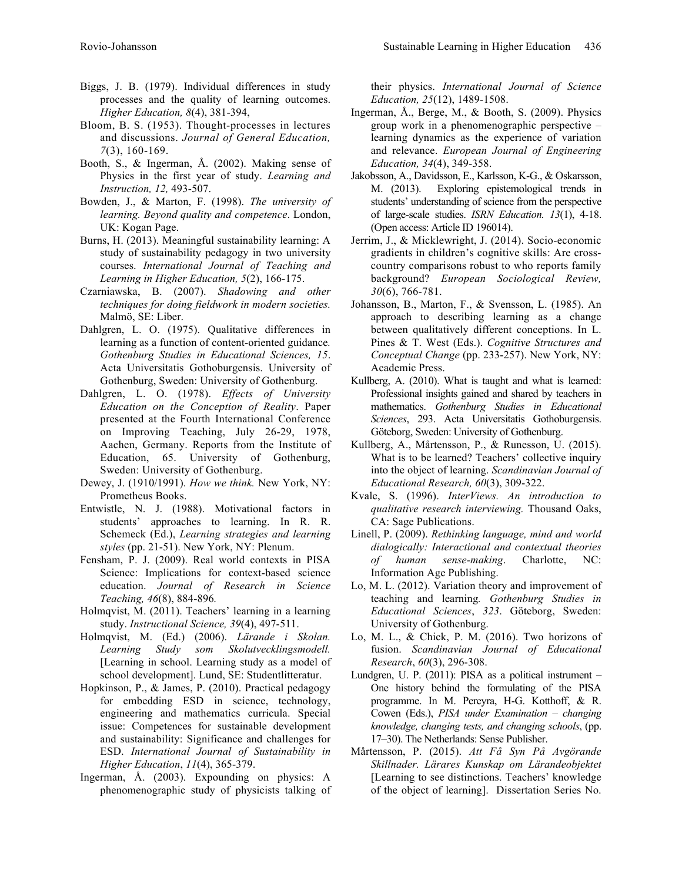- Biggs, J. B. (1979). Individual differences in study processes and the quality of learning outcomes. *Higher Education, 8*(4), 381-394,
- Bloom, B. S. (1953). Thought-processes in lectures and discussions. *Journal of General Education, 7*(3), 160-169.
- Booth, S., & Ingerman, Å. (2002). Making sense of Physics in the first year of study. *Learning and Instruction, 12,* 493-507.
- Bowden, J., & Marton, F. (1998). *The university of learning. Beyond quality and competence*. London, UK: Kogan Page.
- Burns, H. (2013). Meaningful sustainability learning: A study of sustainability pedagogy in two university courses. *International Journal of Teaching and Learning in Higher Education, 5*(2), 166-175.
- Czarniawska, B. (2007). *Shadowing and other techniques for doing fieldwork in modern societies.* Malmö, SE: Liber.
- Dahlgren, L. O. (1975). Qualitative differences in learning as a function of content-oriented guidance*. Gothenburg Studies in Educational Sciences, 15*. Acta Universitatis Gothoburgensis. University of Gothenburg, Sweden: University of Gothenburg.
- Dahlgren, L. O. (1978). *Effects of University Education on the Conception of Reality*. Paper presented at the Fourth International Conference on Improving Teaching, July 26-29, 1978, Aachen, Germany. Reports from the Institute of Education, 65. University of Gothenburg, Sweden: University of Gothenburg.
- Dewey, J. (1910/1991). *How we think.* New York, NY: Prometheus Books.
- Entwistle, N. J. (1988). Motivational factors in students' approaches to learning. In R. R. Schemeck (Ed.), *Learning strategies and learning styles* (pp. 21-51). New York, NY: Plenum.
- Fensham, P. J. (2009). Real world contexts in PISA Science: Implications for context-based science education. *Journal of Research in Science Teaching, 46*(8), 884-896*.*
- Holmqvist, M. (2011). Teachers' learning in a learning study. *Instructional Science, 39*(4), 497-511.
- Holmqvist, M. (Ed.) (2006). *Lärande i Skolan. Learning Study som Skolutvecklingsmodell.*  [Learning in school. Learning study as a model of school development]. Lund, SE: Studentlitteratur.
- Hopkinson, P., & James, P. (2010). Practical pedagogy for embedding ESD in science, technology, engineering and mathematics curricula. Special issue: Competences for sustainable development and sustainability: Significance and challenges for ESD. *International Journal of Sustainability in Higher Education*, *11*(4), 365-379.
- Ingerman, Å. (2003). Expounding on physics: A phenomenographic study of physicists talking of

their physics. *International Journal of Science Education, 25*(12), 1489-1508.

- Ingerman, Å., Berge, M., & Booth, S. (2009). Physics group work in a phenomenographic perspective – learning dynamics as the experience of variation and relevance. *European Journal of Engineering Education, 34*(4), 349-358.
- Jakobsson, A., Davidsson, E., Karlsson, K-G., & Oskarsson, M. (2013). Exploring epistemological trends in students' understanding of science from the perspective of large-scale studies. *ISRN Education. 13*(1), 4-18. (Open access: Article ID 196014).
- Jerrim, J., & Micklewright, J. (2014). Socio-economic gradients in children's cognitive skills: Are crosscountry comparisons robust to who reports family background? *European Sociological Review, 30*(6), 766-781.
- Johansson, B., Marton, F., & Svensson, L. (1985). An approach to describing learning as a change between qualitatively different conceptions. In L. Pines & T. West (Eds.). *Cognitive Structures and Conceptual Change* (pp. 233-257). New York, NY: Academic Press.
- Kullberg, A. (2010). What is taught and what is learned: Professional insights gained and shared by teachers in mathematics. *Gothenburg Studies in Educational Sciences*, 293. Acta Universitatis Gothoburgensis. Göteborg, Sweden: University of Gothenburg.
- Kullberg, A., Mårtensson, P., & Runesson, U. (2015). What is to be learned? Teachers' collective inquiry into the object of learning. *Scandinavian Journal of Educational Research, 60*(3), 309-322.
- Kvale, S. (1996). *InterViews. An introduction to qualitative research interviewing.* Thousand Oaks, CA: Sage Publications.
- Linell, P. (2009). *Rethinking language, mind and world dialogically: Interactional and contextual theories of human sense-making*. Charlotte, NC: Information Age Publishing.
- Lo, M. L. (2012). Variation theory and improvement of teaching and learning*. Gothenburg Studies in Educational Sciences*, *323*. Göteborg, Sweden: University of Gothenburg.
- Lo, M. L., & Chick, P. M. (2016). Two horizons of fusion. *Scandinavian Journal of Educational Research*, *60*(3), 296-308.
- Lundgren, U. P. (2011): PISA as a political instrument One history behind the formulating of the PISA programme. In M. Pereyra, H-G. Kotthoff, & R. Cowen (Eds.), *PISA under Examination – changing knowledge, changing tests, and changing schools*, (pp. 17–30). The Netherlands: Sense Publisher.
- Mårtensson, P. (2015). *Att Få Syn På Avgörande Skillnader. Lärares Kunskap om Lärandeobjektet* [Learning to see distinctions. Teachers' knowledge of the object of learning]. Dissertation Series No.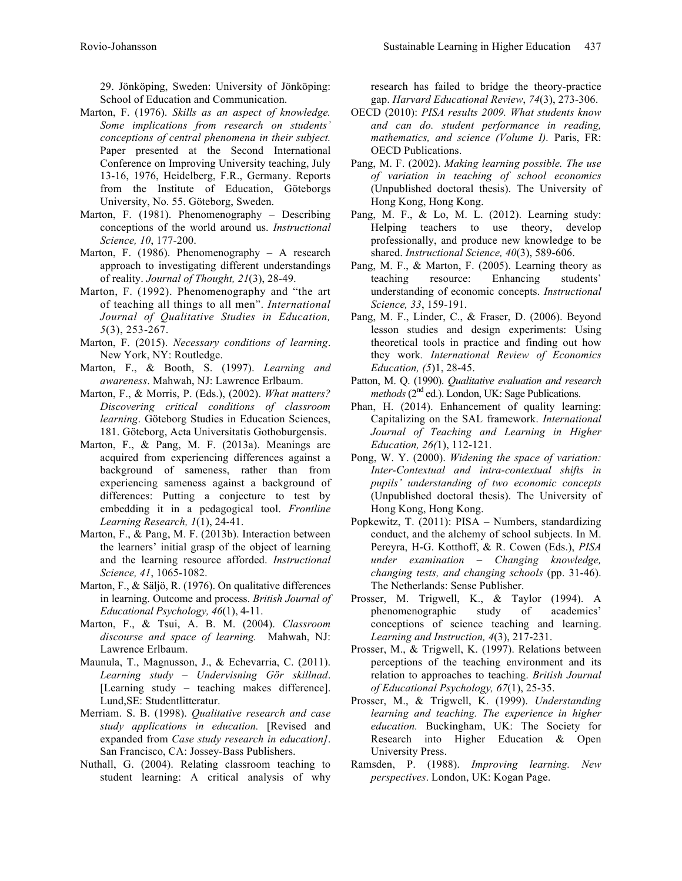29. Jönköping, Sweden: University of Jönköping: School of Education and Communication.

- Marton, F. (1976). *Skills as an aspect of knowledge. Some implications from research on students' conceptions of central phenomena in their subject.* Paper presented at the Second International Conference on Improving University teaching, July 13-16, 1976, Heidelberg, F.R., Germany. Reports from the Institute of Education, Göteborgs University, No. 55. Göteborg, Sweden.
- Marton, F. (1981). Phenomenography Describing conceptions of the world around us. *Instructional Science, 10*, 177-200.
- Marton, F. (1986). Phenomenography A research approach to investigating different understandings of reality. *Journal of Thought, 21*(3), 28-49.
- Marton, F. (1992). Phenomenography and "the art of teaching all things to all men". *International Journal of Qualitative Studies in Education, 5*(3), 253-267.
- Marton, F. (2015). *Necessary conditions of learning*. New York, NY: Routledge.
- Marton, F., & Booth, S. (1997). *Learning and awareness*. Mahwah, NJ: Lawrence Erlbaum.
- Marton, F., & Morris, P. (Eds.), (2002). *What matters? Discovering critical conditions of classroom learning*. Göteborg Studies in Education Sciences, 181. Göteborg, Acta Universitatis Gothoburgensis.
- Marton, F., & Pang, M. F. (2013a). Meanings are acquired from experiencing differences against a background of sameness, rather than from experiencing sameness against a background of differences: Putting a conjecture to test by embedding it in a pedagogical tool. *Frontline Learning Research, 1*(1), 24-41.
- Marton, F., & Pang, M. F. (2013b). Interaction between the learners' initial grasp of the object of learning and the learning resource afforded. *Instructional Science, 41*, 1065-1082.
- Marton, F., & Säljö, R. (1976). On qualitative differences in learning. Outcome and process. *British Journal of Educational Psychology, 46*(1), 4-11.
- Marton, F., & Tsui, A. B. M. (2004). *Classroom discourse and space of learning.* Mahwah, NJ: Lawrence Erlbaum.
- Maunula, T., Magnusson, J., & Echevarria, C. (2011). *Learning study – Undervisning Gör skillnad*. [Learning study – teaching makes difference]. Lund,SE: Studentlitteratur.
- Merriam. S. B. (1998). *Qualitative research and case study applications in education.* [Revised and expanded from *Case study research in education]*. San Francisco, CA: Jossey-Bass Publishers.
- Nuthall, G. (2004). Relating classroom teaching to student learning: A critical analysis of why

research has failed to bridge the theory-practice gap. *Harvard Educational Review*, *74*(3), 273-306.

- OECD (2010): *PISA results 2009. What students know and can do. student performance in reading, mathematics, and science (Volume I).* Paris, FR: OECD Publications.
- Pang, M. F. (2002). *Making learning possible. The use of variation in teaching of school economics* (Unpublished doctoral thesis). The University of Hong Kong, Hong Kong.
- Pang, M. F., & Lo, M. L. (2012). Learning study: Helping teachers to use theory, develop professionally, and produce new knowledge to be shared. *Instructional Science, 40*(3), 589-606.
- Pang, M. F., & Marton, F. (2005). Learning theory as teaching resource: Enhancing students' understanding of economic concepts. *Instructional Science, 33*, 159-191.
- Pang, M. F., Linder, C., & Fraser, D. (2006). Beyond lesson studies and design experiments: Using theoretical tools in practice and finding out how they work*. International Review of Economics Education, (5*)1, 28-45.
- Patton, M. Q. (1990). *Qualitative evaluation and research methods* (2<sup>nd</sup> ed.). London, UK: Sage Publications.
- Phan, H. (2014). Enhancement of quality learning: Capitalizing on the SAL framework. *International Journal of Teaching and Learning in Higher Education, 26(*1), 112-121.
- Pong, W. Y. (2000). *Widening the space of variation: Inter-Contextual and intra-contextual shifts in pupils' understanding of two economic concepts* (Unpublished doctoral thesis). The University of Hong Kong, Hong Kong.
- Popkewitz, T. (2011): PISA Numbers, standardizing conduct, and the alchemy of school subjects. In M. Pereyra, H-G. Kotthoff, & R. Cowen (Eds.), *PISA under examination – Changing knowledge, changing tests, and changing schools* (pp. 31-46). The Netherlands: Sense Publisher.
- Prosser, M. Trigwell, K., & Taylor (1994). A phenomenographic study of academics' conceptions of science teaching and learning. *Learning and Instruction, 4*(3), 217-231.
- Prosser, M., & Trigwell, K. (1997). Relations between perceptions of the teaching environment and its relation to approaches to teaching. *British Journal of Educational Psychology, 67*(1), 25-35.
- Prosser, M., & Trigwell, K. (1999). *Understanding learning and teaching. The experience in higher education.* Buckingham, UK: The Society for Research into Higher Education & Open University Press.
- Ramsden, P. (1988). *Improving learning. New perspectives*. London, UK: Kogan Page.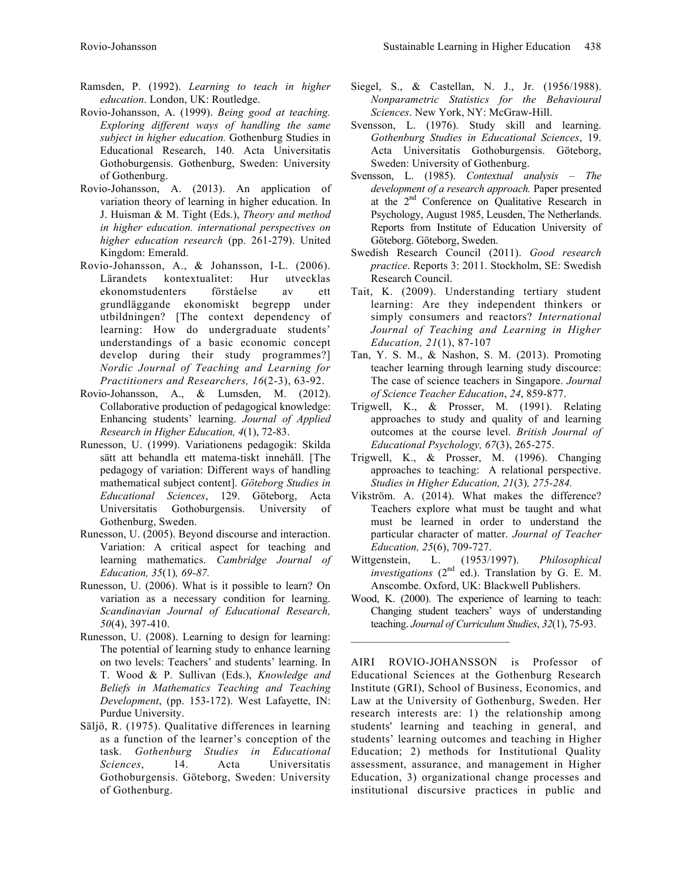- Ramsden, P. (1992). *Learning to teach in higher education*. London, UK: Routledge.
- Rovio-Johansson, A. (1999). *Being good at teaching. Exploring different ways of handling the same subject in higher education.* Gothenburg Studies in Educational Research, 140. Acta Universitatis Gothoburgensis. Gothenburg, Sweden: University of Gothenburg.
- Rovio-Johansson, A. (2013). An application of variation theory of learning in higher education. In J. Huisman & M. Tight (Eds.), *Theory and method in higher education. international perspectives on higher education research* (pp. 261-279). United Kingdom: Emerald.
- Rovio-Johansson, A., & Johansson, I-L. (2006). Lärandets kontextualitet: Hur utvecklas ekonomstudenters förståelse av ett grundläggande ekonomiskt begrepp under utbildningen? [The context dependency of learning: How do undergraduate students' understandings of a basic economic concept develop during their study programmes?] *Nordic Journal of Teaching and Learning for Practitioners and Researchers, 16*(2-3), 63-92.
- Rovio-Johansson, A., & Lumsden, M. (2012). Collaborative production of pedagogical knowledge: Enhancing students' learning. *Journal of Applied Research in Higher Education, 4*(1), 72-83.
- Runesson, U. (1999). Variationens pedagogik: Skilda sätt att behandla ett matema-tiskt innehåll. [The pedagogy of variation: Different ways of handling mathematical subject content]. *Göteborg Studies in Educational Sciences*, 129. Göteborg, Acta Universitatis Gothoburgensis. University of Gothenburg, Sweden.
- Runesson, U. (2005). Beyond discourse and interaction. Variation: A critical aspect for teaching and learning mathematics. *Cambridge Journal of Education, 35*(1)*, 69-87.*
- Runesson, U. (2006). What is it possible to learn? On variation as a necessary condition for learning. *Scandinavian Journal of Educational Research, 50*(4), 397-410.
- Runesson, U. (2008). Learning to design for learning: The potential of learning study to enhance learning on two levels: Teachers' and students' learning. In T. Wood & P. Sullivan (Eds.), *Knowledge and Beliefs in Mathematics Teaching and Teaching Development*, (pp. 153-172). West Lafayette, IN: Purdue University.
- Säljö, R. (1975). Qualitative differences in learning as a function of the learner's conception of the task*. Gothenburg Studies in Educational Sciences*, 14. Acta Universitatis Gothoburgensis. Göteborg, Sweden: University of Gothenburg.
- Siegel, S., & Castellan, N. J., Jr. (1956/1988). *Nonparametric Statistics for the Behavioural Sciences*. New York, NY: McGraw-Hill.
- Svensson, L. (1976). Study skill and learning. *Gothenburg Studies in Educational Sciences*, 19. Acta Universitatis Gothoburgensis. Göteborg, Sweden: University of Gothenburg.
- Svensson, L. (1985). *Contextual analysis – The development of a research approach.* Paper presented at the 2nd Conference on Qualitative Research in Psychology, August 1985, Leusden, The Netherlands. Reports from Institute of Education University of Göteborg. Göteborg, Sweden.
- Swedish Research Council (2011). *Good research practice*. Reports 3: 2011. Stockholm, SE: Swedish Research Council.
- Tait, K. (2009). Understanding tertiary student learning: Are they independent thinkers or simply consumers and reactors? *International Journal of Teaching and Learning in Higher Education, 21*(1), 87-107
- Tan, Y. S. M., & Nashon, S. M. (2013). Promoting teacher learning through learning study discource: The case of science teachers in Singapore. *Journal of Science Teacher Education*, *24*, 859-877.
- Trigwell, K., & Prosser, M. (1991). Relating approaches to study and quality of and learning outcomes at the course level. *British Journal of Educational Psychology, 67*(3), 265-275.
- Trigwell, K., & Prosser, M. (1996). Changing approaches to teaching: A relational perspective. *Studies in Higher Education, 21*(3)*, 275-284.*
- Vikström. A. (2014). What makes the difference? Teachers explore what must be taught and what must be learned in order to understand the particular character of matter. *Journal of Teacher Education, 25*(6), 709-727.
- Wittgenstein, L. (1953/1997). *Philosophical*   $\overline{\mathbf{a}}$ *investigations* (2<sup>nd</sup> ed.). Translation by G. E. M. Anscombe. Oxford, UK: Blackwell Publishers.
- Wood, K. (2000). The experience of learning to teach: Changing student teachers' ways of understanding teaching. *Journal of Curriculum Studies*, *32*(1), 75-93.

 $\mathcal{L}_\text{max}$ 

AIRI ROVIO-JOHANSSON is Professor of Educational Sciences at the Gothenburg Research Institute (GRI), School of Business, Economics, and Law at the University of Gothenburg, Sweden. Her research interests are: 1) the relationship among students' learning and teaching in general, and students' learning outcomes and teaching in Higher Education; 2) methods for Institutional Quality assessment, assurance, and management in Higher Education, 3) organizational change processes and institutional discursive practices in public and